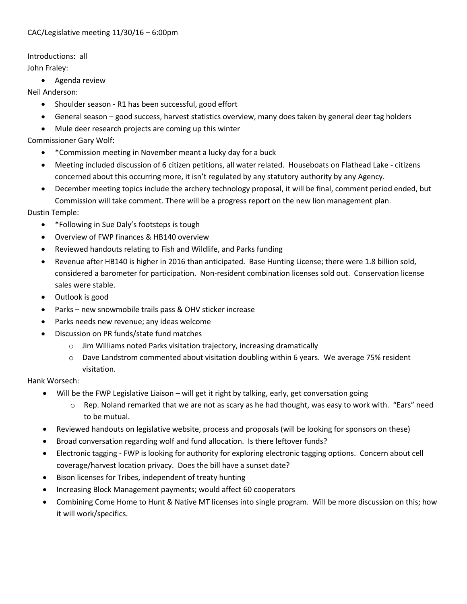#### CAC/Legislative meeting 11/30/16 – 6:00pm

Introductions: all John Fraley:

• Agenda review

Neil Anderson:

- Shoulder season R1 has been successful, good effort
- General season good success, harvest statistics overview, many does taken by general deer tag holders
- Mule deer research projects are coming up this winter

Commissioner Gary Wolf:

- \*Commission meeting in November meant a lucky day for a buck
- Meeting included discussion of 6 citizen petitions, all water related. Houseboats on Flathead Lake citizens concerned about this occurring more, it isn't regulated by any statutory authority by any Agency.
- December meeting topics include the archery technology proposal, it will be final, comment period ended, but Commission will take comment. There will be a progress report on the new lion management plan.

Dustin Temple:

- \*Following in Sue Daly's footsteps is tough
- Overview of FWP finances & HB140 overview
- Reviewed handouts relating to Fish and Wildlife, and Parks funding
- Revenue after HB140 is higher in 2016 than anticipated. Base Hunting License; there were 1.8 billion sold, considered a barometer for participation. Non-resident combination licenses sold out. Conservation license sales were stable.
- Outlook is good
- Parks new snowmobile trails pass & OHV sticker increase
- Parks needs new revenue; any ideas welcome
- Discussion on PR funds/state fund matches
	- o Jim Williams noted Parks visitation trajectory, increasing dramatically
	- $\circ$  Dave Landstrom commented about visitation doubling within 6 years. We average 75% resident visitation.

Hank Worsech:

- Will be the FWP Legislative Liaison will get it right by talking, early, get conversation going
	- $\circ$  Rep. Noland remarked that we are not as scary as he had thought, was easy to work with. "Ears" need to be mutual.
- Reviewed handouts on legislative website, process and proposals (will be looking for sponsors on these)
- Broad conversation regarding wolf and fund allocation. Is there leftover funds?
- Electronic tagging FWP is looking for authority for exploring electronic tagging options. Concern about cell coverage/harvest location privacy. Does the bill have a sunset date?
- Bison licenses for Tribes, independent of treaty hunting
- Increasing Block Management payments; would affect 60 cooperators
- Combining Come Home to Hunt & Native MT licenses into single program. Will be more discussion on this; how it will work/specifics.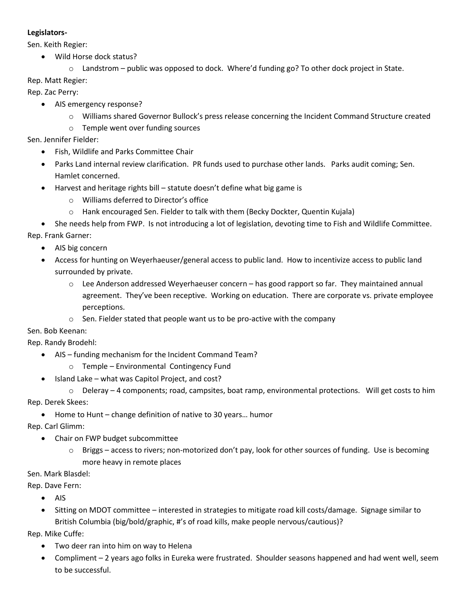#### **Legislators-**

Sen. Keith Regier:

- Wild Horse dock status?
	- $\circ$  Landstrom public was opposed to dock. Where'd funding go? To other dock project in State.

#### Rep. Matt Regier:

Rep. Zac Perry:

- AIS emergency response?
	- o Williams shared Governor Bullock's press release concerning the Incident Command Structure created
	- o Temple went over funding sources

Sen. Jennifer Fielder:

- Fish, Wildlife and Parks Committee Chair
- Parks Land internal review clarification. PR funds used to purchase other lands. Parks audit coming; Sen. Hamlet concerned.
- Harvest and heritage rights bill statute doesn't define what big game is
	- o Williams deferred to Director's office
	- o Hank encouraged Sen. Fielder to talk with them (Becky Dockter, Quentin Kujala)

• She needs help from FWP. Is not introducing a lot of legislation, devoting time to Fish and Wildlife Committee. Rep. Frank Garner:

- AIS big concern
- Access for hunting on Weyerhaeuser/general access to public land. How to incentivize access to public land surrounded by private.
	- $\circ$  Lee Anderson addressed Weyerhaeuser concern has good rapport so far. They maintained annual agreement. They've been receptive. Working on education. There are corporate vs. private employee perceptions.
	- o Sen. Fielder stated that people want us to be pro-active with the company

Sen. Bob Keenan:

Rep. Randy Brodehl:

- AIS funding mechanism for the Incident Command Team?
	- o Temple Environmental Contingency Fund
- Island Lake what was Capitol Project, and cost?
	- $\circ$  Deleray 4 components; road, campsites, boat ramp, environmental protections. Will get costs to him

Rep. Derek Skees:

• Home to Hunt – change definition of native to 30 years… humor

Rep. Carl Glimm:

- Chair on FWP budget subcommittee
	- $\circ$  Briggs access to rivers; non-motorized don't pay, look for other sources of funding. Use is becoming more heavy in remote places

Sen. Mark Blasdel:

Rep. Dave Fern:

- AIS
- Sitting on MDOT committee interested in strategies to mitigate road kill costs/damage. Signage similar to British Columbia (big/bold/graphic, #'s of road kills, make people nervous/cautious)?

Rep. Mike Cuffe:

- Two deer ran into him on way to Helena
- Compliment 2 years ago folks in Eureka were frustrated. Shoulder seasons happened and had went well, seem to be successful.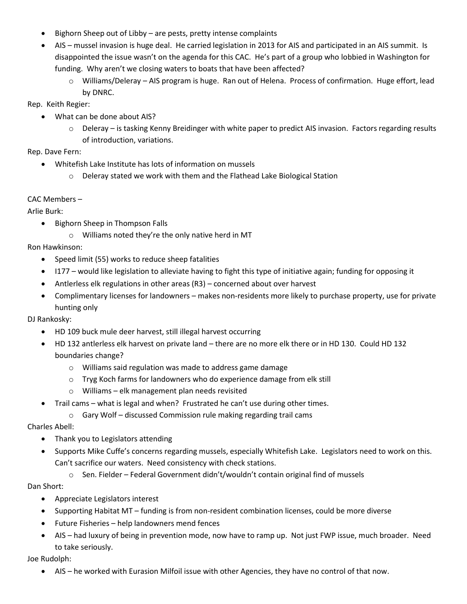- Bighorn Sheep out of Libby are pests, pretty intense complaints
- AIS mussel invasion is huge deal. He carried legislation in 2013 for AIS and participated in an AIS summit. Is disappointed the issue wasn't on the agenda for this CAC. He's part of a group who lobbied in Washington for funding. Why aren't we closing waters to boats that have been affected?
	- o Williams/Deleray AIS program is huge. Ran out of Helena. Process of confirmation. Huge effort, lead by DNRC.

Rep. Keith Regier:

- What can be done about AIS?
	- $\circ$  Deleray is tasking Kenny Breidinger with white paper to predict AIS invasion. Factors regarding results of introduction, variations.

Rep. Dave Fern:

- Whitefish Lake Institute has lots of information on mussels
	- o Deleray stated we work with them and the Flathead Lake Biological Station

### CAC Members –

Arlie Burk:

- Bighorn Sheep in Thompson Falls
	- o Williams noted they're the only native herd in MT

Ron Hawkinson:

- Speed limit (55) works to reduce sheep fatalities
- I177 would like legislation to alleviate having to fight this type of initiative again; funding for opposing it
- Antlerless elk regulations in other areas (R3) concerned about over harvest
- Complimentary licenses for landowners makes non-residents more likely to purchase property, use for private hunting only

DJ Rankosky:

- HD 109 buck mule deer harvest, still illegal harvest occurring
- HD 132 antlerless elk harvest on private land there are no more elk there or in HD 130. Could HD 132 boundaries change?
	- o Williams said regulation was made to address game damage
	- o Tryg Koch farms for landowners who do experience damage from elk still
	- o Williams elk management plan needs revisited
- Trail cams what is legal and when? Frustrated he can't use during other times.
	- o Gary Wolf discussed Commission rule making regarding trail cams

Charles Abell:

- Thank you to Legislators attending
- Supports Mike Cuffe's concerns regarding mussels, especially Whitefish Lake. Legislators need to work on this. Can't sacrifice our waters. Need consistency with check stations.
	- $\circ$  Sen. Fielder Federal Government didn't/wouldn't contain original find of mussels

Dan Short:

- Appreciate Legislators interest
- Supporting Habitat MT funding is from non-resident combination licenses, could be more diverse
- Future Fisheries help landowners mend fences
- AIS had luxury of being in prevention mode, now have to ramp up. Not just FWP issue, much broader. Need to take seriously.

Joe Rudolph:

• AIS – he worked with Eurasion Milfoil issue with other Agencies, they have no control of that now.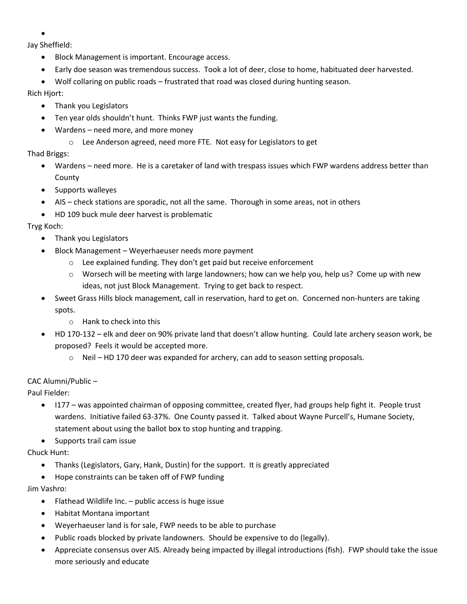•

Jay Sheffield:

- Block Management is important. Encourage access.
- Early doe season was tremendous success. Took a lot of deer, close to home, habituated deer harvested.
- Wolf collaring on public roads frustrated that road was closed during hunting season.

## Rich Hjort:

- Thank you Legislators
- Ten year olds shouldn't hunt. Thinks FWP just wants the funding.
- Wardens need more, and more money
	- o Lee Anderson agreed, need more FTE. Not easy for Legislators to get

# Thad Briggs:

- Wardens need more. He is a caretaker of land with trespass issues which FWP wardens address better than County
- Supports walleyes
- AIS check stations are sporadic, not all the same. Thorough in some areas, not in others
- HD 109 buck mule deer harvest is problematic

# Tryg Koch:

- Thank you Legislators
- Block Management Weyerhaeuser needs more payment
	- o Lee explained funding. They don't get paid but receive enforcement
		- $\circ$  Worsech will be meeting with large landowners; how can we help you, help us? Come up with new ideas, not just Block Management. Trying to get back to respect.
- Sweet Grass Hills block management, call in reservation, hard to get on. Concerned non-hunters are taking spots.
	- o Hank to check into this
- HD 170-132 elk and deer on 90% private land that doesn't allow hunting. Could late archery season work, be proposed? Feels it would be accepted more.
	- $\circ$  Neil HD 170 deer was expanded for archery, can add to season setting proposals.

## CAC Alumni/Public –

Paul Fielder:

- I177 was appointed chairman of opposing committee, created flyer, had groups help fight it. People trust wardens. Initiative failed 63-37%. One County passed it. Talked about Wayne Purcell's, Humane Society, statement about using the ballot box to stop hunting and trapping.
- Supports trail cam issue

## Chuck Hunt:

- Thanks (Legislators, Gary, Hank, Dustin) for the support. It is greatly appreciated
- Hope constraints can be taken off of FWP funding

Jim Vashro:

- Flathead Wildlife Inc.  $-$  public access is huge issue
- Habitat Montana important
- Weyerhaeuser land is for sale, FWP needs to be able to purchase
- Public roads blocked by private landowners. Should be expensive to do (legally).
- Appreciate consensus over AIS. Already being impacted by illegal introductions (fish). FWP should take the issue more seriously and educate